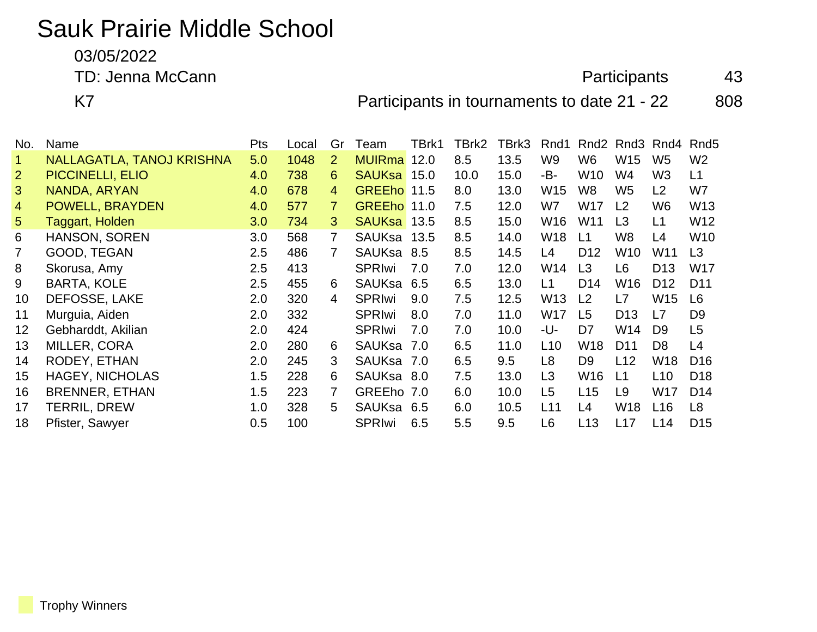## Sauk Prairie Middle School

03/05/2022

TD: Jenna McCann **Accann** 43

K7 **Participants in tournaments to date 21 - 22** 808

| No.            | Name                      | <b>Pts</b> | Local | Gr             | Team          | TBrk1 | TBrk2 | TBrk3 | Rnd1            | Rnd <sub>2</sub> | Rnd3            | Rnd4            | Rnd <sub>5</sub> |
|----------------|---------------------------|------------|-------|----------------|---------------|-------|-------|-------|-----------------|------------------|-----------------|-----------------|------------------|
|                | NALLAGATLA, TANOJ KRISHNA | 5.0        | 1048  | $\overline{2}$ | <b>MUIRma</b> | 12.0  | 8.5   | 13.5  | W <sub>9</sub>  | W6               | W <sub>15</sub> | W <sub>5</sub>  | W <sub>2</sub>   |
| $\overline{2}$ | <b>PICCINELLI, ELIO</b>   | 4.0        | 738   | 6              | <b>SAUKsa</b> | 15.0  | 10.0  | 15.0  | -B-             | W10              | W4              | W <sub>3</sub>  | L1               |
| 3 <sup>5</sup> | NANDA, ARYAN              | 4.0        | 678   | 4              | <b>GREEho</b> | 11.5  | 8.0   | 13.0  | W15             | W8               | W <sub>5</sub>  | L2              | W7               |
| $\overline{4}$ | POWELL, BRAYDEN           | 4.0        | 577   | $\mathbf{7}$   | <b>GREEho</b> | 11.0  | 7.5   | 12.0  | W7              | W17              | L2              | W <sub>6</sub>  | W <sub>13</sub>  |
| 5 <sup>5</sup> | Taggart, Holden           | 3.0        | 734   | 3              | <b>SAUKsa</b> | 13.5  | 8.5   | 15.0  | W16             | W11              | L <sub>3</sub>  | L1              | W12              |
| 6              | <b>HANSON, SOREN</b>      | 3.0        | 568   | $\overline{7}$ | SAUKsa        | 13.5  | 8.5   | 14.0  | W18             | L1               | W8              | L4              | W <sub>10</sub>  |
|                | GOOD, TEGAN               | 2.5        | 486   | 7              | SAUKsa        | 8.5   | 8.5   | 14.5  | L4              | D <sub>12</sub>  | W10             | W11             | L3               |
| 8              | Skorusa, Amy              | 2.5        | 413   |                | <b>SPRIwi</b> | 7.0   | 7.0   | 12.0  | W14             | L <sub>3</sub>   | L6              | D <sub>13</sub> | <b>W17</b>       |
| 9              | <b>BARTA, KOLE</b>        | 2.5        | 455   | 6              | <b>SAUKsa</b> | 6.5   | 6.5   | 13.0  | L1              | D <sub>14</sub>  | W16             | D <sub>12</sub> | D <sub>11</sub>  |
| 10             | DEFOSSE, LAKE             | 2.0        | 320   | 4              | <b>SPRIwi</b> | 9.0   | 7.5   | 12.5  | W13             | L <sub>2</sub>   | L7              | W <sub>15</sub> | L <sub>6</sub>   |
| 11             | Murguia, Aiden            | 2.0        | 332   |                | <b>SPRIwi</b> | 8.0   | 7.0   | 11.0  | W17             | L <sub>5</sub>   | D <sub>13</sub> | L7              | D <sub>9</sub>   |
| 12             | Gebharddt, Akilian        | 2.0        | 424   |                | <b>SPRIwi</b> | 7.0   | 7.0   | 10.0  | -U-             | D7               | W14             | D <sub>9</sub>  | L5               |
| 13             | <b>MILLER, CORA</b>       | 2.0        | 280   | 6              | <b>SAUKsa</b> | 7.0   | 6.5   | 11.0  | L <sub>10</sub> | W18              | D <sub>11</sub> | D <sub>8</sub>  | L4               |
| 14             | RODEY, ETHAN              | 2.0        | 245   | 3              | SAUKsa        | 7.0   | 6.5   | 9.5   | L8              | D <sub>9</sub>   | L12             | W18             | D <sub>16</sub>  |
| 15             | <b>HAGEY, NICHOLAS</b>    | 1.5        | 228   | 6              | SAUKsa 8.0    |       | 7.5   | 13.0  | L <sub>3</sub>  | W16              | L1              | L10             | D <sub>18</sub>  |
| 16             | <b>BRENNER, ETHAN</b>     | 1.5        | 223   | 7              | <b>GREEho</b> | 7.0   | 6.0   | 10.0  | L <sub>5</sub>  | L15              | L9              | W17             | D <sub>14</sub>  |
| 17             | TERRIL, DREW              | 1.0        | 328   | 5              | SAUKsa        | 6.5   | 6.0   | 10.5  | L11             | L4               | W18             | L16             | L <sub>8</sub>   |
| 18             | Pfister, Sawyer           | 0.5        | 100   |                | <b>SPRIwi</b> | 6.5   | 5.5   | 9.5   | L <sub>6</sub>  | L <sub>13</sub>  | L17             | L14             | D <sub>15</sub>  |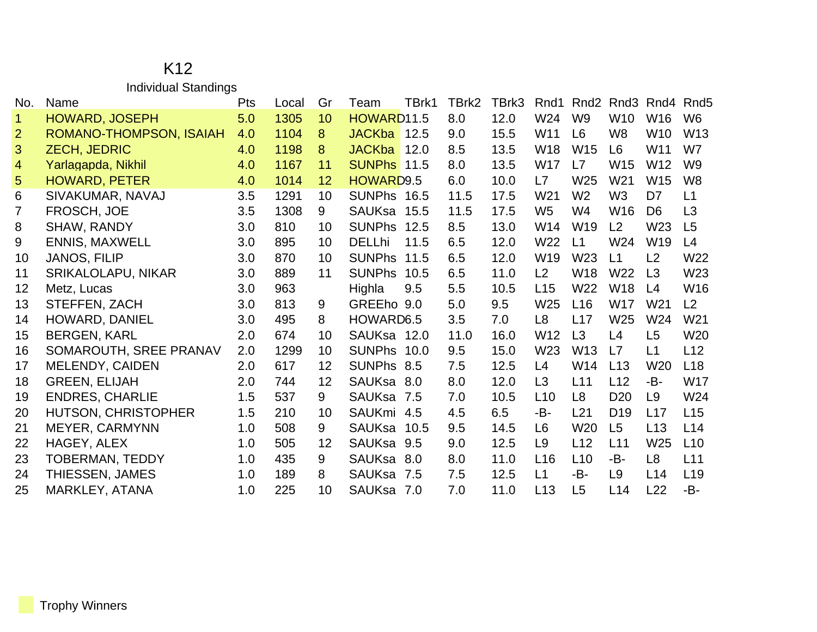## K12 Individual Standings

| No.            | Name                       | Pts | Local | Gr | Team               | TBrk1 | TBrk2 | TBrk3 | Rnd1            | Rnd <sub>2</sub> | Rnd3            | Rnd4            | Rnd <sub>5</sub> |
|----------------|----------------------------|-----|-------|----|--------------------|-------|-------|-------|-----------------|------------------|-----------------|-----------------|------------------|
| 1.             | <b>HOWARD, JOSEPH</b>      | 5.0 | 1305  | 10 | HOWARD11.5         |       | 8.0   | 12.0  | W24             | W <sub>9</sub>   | W10             | W16             | W <sub>6</sub>   |
| $\overline{2}$ | ROMANO-THOMPSON, ISAIAH    | 4.0 | 1104  | 8  | JACKba 12.5        |       | 9.0   | 15.5  | W <sub>11</sub> | L <sub>6</sub>   | W <sub>8</sub>  | W <sub>10</sub> | W <sub>13</sub>  |
| 3              | <b>ZECH, JEDRIC</b>        | 4.0 | 1198  | 8  | <b>JACKba</b>      | 12.0  | 8.5   | 13.5  | W18             | W15              | L <sub>6</sub>  | W11             | W7               |
| $\overline{4}$ | Yarlagapda, Nikhil         | 4.0 | 1167  | 11 | <b>SUNPhs</b> 11.5 |       | 8.0   | 13.5  | W <sub>17</sub> | L7               | <b>W15</b>      | W <sub>12</sub> | W <sub>9</sub>   |
| 5              | <b>HOWARD, PETER</b>       | 4.0 | 1014  | 12 | HOWARD9.5          |       | 6.0   | 10.0  | L7              | W25              | W21             | W <sub>15</sub> | W <sub>8</sub>   |
| 6              | SIVAKUMAR, NAVAJ           | 3.5 | 1291  | 10 | SUNPhs 16.5        |       | 11.5  | 17.5  | W <sub>21</sub> | W <sub>2</sub>   | W <sub>3</sub>  | D <sub>7</sub>  | L1               |
| $\overline{7}$ | FROSCH, JOE                | 3.5 | 1308  | 9  | SAUKsa 15.5        |       | 11.5  | 17.5  | W <sub>5</sub>  | W4               | W16             | D <sub>6</sub>  | L3               |
| 8              | SHAW, RANDY                | 3.0 | 810   | 10 | <b>SUNPhs</b>      | 12.5  | 8.5   | 13.0  | W14             | W19              | L2              | W23             | L5               |
| 9              | <b>ENNIS, MAXWELL</b>      | 3.0 | 895   | 10 | <b>DELLhi</b>      | 11.5  | 6.5   | 12.0  | W22             | L1               | W24             | W <sub>19</sub> | L4               |
| 10             | <b>JANOS, FILIP</b>        | 3.0 | 870   | 10 | <b>SUNPhs</b>      | 11.5  | 6.5   | 12.0  | W <sub>19</sub> | W <sub>23</sub>  | L1              | L2              | W22              |
| 11             | SRIKALOLAPU, NIKAR         | 3.0 | 889   | 11 | <b>SUNPhs</b>      | 10.5  | 6.5   | 11.0  | L2              | W18              | W <sub>22</sub> | L <sub>3</sub>  | W23              |
| 12             | Metz, Lucas                | 3.0 | 963   |    | Highla             | 9.5   | 5.5   | 10.5  | L15             | W22              | <b>W18</b>      | L4              | W16              |
| 13             | STEFFEN, ZACH              | 3.0 | 813   | 9  | GREEho 9.0         |       | 5.0   | 9.5   | W25             | L16              | <b>W17</b>      | W <sub>21</sub> | L2               |
| 14             | HOWARD, DANIEL             | 3.0 | 495   | 8  | HOWARD6.5          |       | 3.5   | 7.0   | L <sub>8</sub>  | L17              | W <sub>25</sub> | W24             | W21              |
| 15             | <b>BERGEN, KARL</b>        | 2.0 | 674   | 10 | SAUKsa 12.0        |       | 11.0  | 16.0  | W <sub>12</sub> | L3               | L4              | L5              | W20              |
| 16             | SOMAROUTH, SREE PRANAV     | 2.0 | 1299  | 10 | SUNPhs 10.0        |       | 9.5   | 15.0  | W <sub>23</sub> | W <sub>13</sub>  | L7              | L1              | L12              |
| 17             | MELENDY, CAIDEN            | 2.0 | 617   | 12 | SUNPhs 8.5         |       | 7.5   | 12.5  | L4              | W14              | L13             | W <sub>20</sub> | L18              |
| 18             | <b>GREEN, ELIJAH</b>       | 2.0 | 744   | 12 | SAUKsa 8.0         |       | 8.0   | 12.0  | L3              | L11              | L12             | -B-             | W17              |
| 19             | <b>ENDRES, CHARLIE</b>     | 1.5 | 537   | 9  | SAUKsa 7.5         |       | 7.0   | 10.5  | L10             | L8               | D <sub>20</sub> | L9              | W24              |
| 20             | <b>HUTSON, CHRISTOPHER</b> | 1.5 | 210   | 10 | SAUKmi 4.5         |       | 4.5   | 6.5   | -B-             | L21              | D <sub>19</sub> | L17             | L15              |
| 21             | MEYER, CARMYNN             | 1.0 | 508   | 9  | SAUKsa 10.5        |       | 9.5   | 14.5  | L <sub>6</sub>  | W20              | L <sub>5</sub>  | L13             | L14              |
| 22             | HAGEY, ALEX                | 1.0 | 505   | 12 | SAUKsa 9.5         |       | 9.0   | 12.5  | L <sub>9</sub>  | L12              | L11             | W <sub>25</sub> | L10              |
| 23             | <b>TOBERMAN, TEDDY</b>     | 1.0 | 435   | 9  | SAUKsa 8.0         |       | 8.0   | 11.0  | L16             | L10              | -B-             | L <sub>8</sub>  | L11              |
| 24             | THIESSEN, JAMES            | 1.0 | 189   | 8  | <b>SAUKsa</b>      | 7.5   | 7.5   | 12.5  | L1              | -B-              | L9              | L14             | L <sub>19</sub>  |
| 25             | MARKLEY, ATANA             | 1.0 | 225   | 10 | SAUKsa 7.0         |       | 7.0   | 11.0  | L13             | L <sub>5</sub>   | L14             | L22             | -B-              |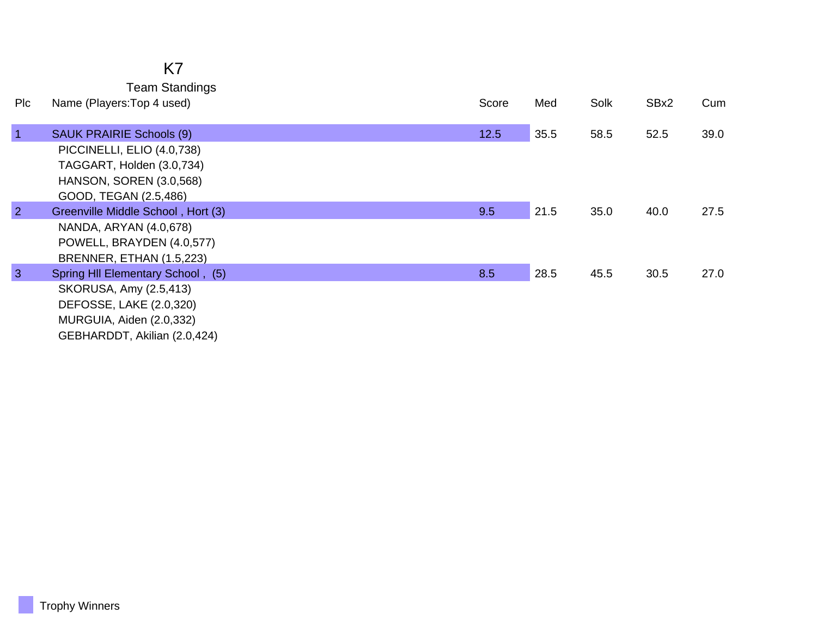| Plc            | <b>Team Standings</b><br>Name (Players: Top 4 used)                                                                                                   | Score | Med  | Solk | SBx2 | Cum  |
|----------------|-------------------------------------------------------------------------------------------------------------------------------------------------------|-------|------|------|------|------|
| $\vert$ 1      | <b>SAUK PRAIRIE Schools (9)</b><br>PICCINELLI, ELIO (4.0,738)<br>TAGGART, Holden (3.0,734)<br><b>HANSON, SOREN (3.0,568)</b><br>GOOD, TEGAN (2.5,486) | 12.5  | 35.5 | 58.5 | 52.5 | 39.0 |
| $\overline{2}$ | Greenville Middle School, Hort (3)<br>NANDA, ARYAN (4.0,678)<br>POWELL, BRAYDEN (4.0,577)<br><b>BRENNER, ETHAN (1.5,223)</b>                          | 9.5   | 21.5 | 35.0 | 40.0 | 27.5 |
| $\overline{3}$ | Spring HII Elementary School, (5)<br>SKORUSA, Amy (2.5,413)<br>DEFOSSE, LAKE (2.0,320)<br>MURGUIA, Aiden (2.0,332)<br>GEBHARDDT, Akilian (2.0,424)    | 8.5   | 28.5 | 45.5 | 30.5 | 27.0 |

K7